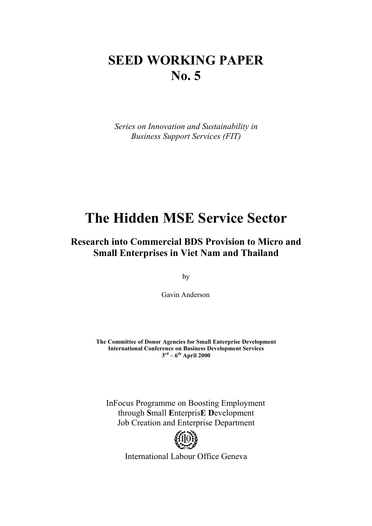# **SEED WORKING PAPER No. 5**

*Series on Innovation and Sustainability in Business Support Services (FIT)* 

# **The Hidden MSE Service Sector**

# **Research into Commercial BDS Provision to Micro and Small Enterprises in Viet Nam and Thailand**

by

Gavin Anderson

**The Committee of Donor Agencies for Small Enterprise Development International Conference on Business Development Services 3rd – 6th April 2000** 

InFocus Programme on Boosting Employment through **S**mall **E**nterpris**E D**evelopment Job Creation and Enterprise Department



International Labour Office Geneva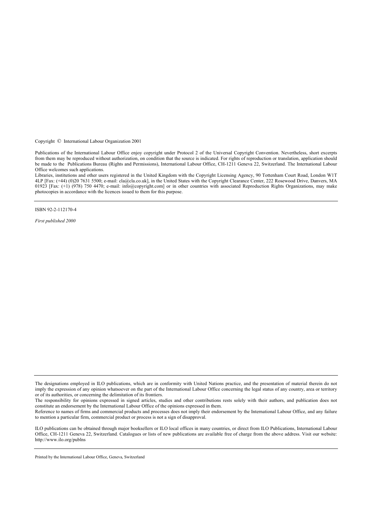Copyright © International Labour Organization 2001

Publications of the International Labour Office enjoy copyright under Protocol 2 of the Universal Copyright Convention. Nevertheless, short excerpts from them may be reproduced without authorization, on condition that the source is indicated. For rights of reproduction or translation, application should be made to the Publications Bureau (Rights and Permissions), International Labour Office, CH-1211 Geneva 22, Switzerland. The International Labour Office welcomes such applications.

Libraries, institutions and other users registered in the United Kingdom with the Copyright Licensing Agency, 90 Tottenham Court Road, London W1T 4LP [Fax: (+44) (0)20 7631 5500; e-mail: cla@cla.co.uk], in the United States with the Copyright Clearance Center, 222 Rosewood Drive, Danvers, MA 01923 [Fax: (+1) (978) 750 4470; e-mail: info@copyright.com] or in other countries with associated Reproduction Rights Organizations, may make photocopies in accordance with the licences issued to them for this purpose.

ISBN 92-2-112170-4

*First published 2000* 

The responsibility for opinions expressed in signed articles, studies and other contributions rests solely with their authors, and publication does not constitute an endorsement by the International Labour Office of the opinions expressed in them.

Reference to names of firms and commercial products and processes does not imply their endorsement by the International Labour Office, and any failure to mention a particular firm, commercial product or process is not a sign of disapproval.

ILO publications can be obtained through major booksellers or ILO local offices in many countries, or direct from ILO Publications, International Labour Office, CH-1211 Geneva 22, Switzerland. Catalogues or lists of new publications are available free of charge from the above address. Visit our website: http://www.ilo.org/publns

Printed by the International Labour Office, Geneva, Switzerland

The designations employed in ILO publications, which are in conformity with United Nations practice, and the presentation of material therein do not imply the expression of any opinion whatsoever on the part of the International Labour Office concerning the legal status of any country, area or territory or of its authorities, or concerning the delimitation of its frontiers.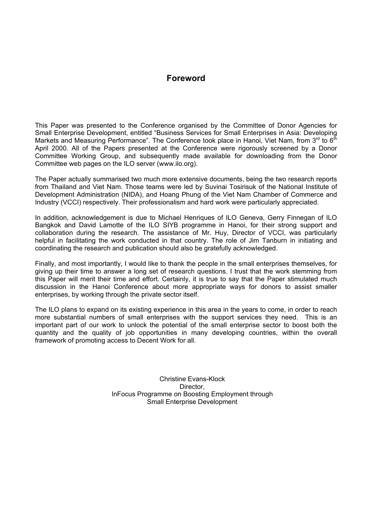# **Foreword**

This Paper was presented to the Conference organised by the Committee of Donor Agencies for Small Enterprise Development, entitled "Business Services for Small Enterprises in Asia: Developing Markets and Measuring Performance". The Conference took place in Hanoi, Viet Nam, from  $3^{rd}$  to  $6^{th}$ April 2000. All of the Papers presented at the Conference were rigorously screened by a Donor Committee Working Group, and subsequently made available for downloading from the Donor Committee web pages on the ILO server (www.ilo.org).

The Paper actually summarised two much more extensive documents, being the two research reports from Thailand and Viet Nam. Those teams were led by Suvinai Tosirisuk of the National Institute of Development Administration (NIDA), and Hoang Phung of the Viet Nam Chamber of Commerce and Industry (VCCI) respectively. Their professionalism and hard work were particularly appreciated.

In addition, acknowledgement is due to Michael Henriques of ILO Geneva, Gerry Finnegan of ILO Bangkok and David Lamotte of the ILO SIYB programme in Hanoi, for their strong support and collaboration during the research. The assistance of Mr. Huy, Director of VCCI, was particularly helpful in facilitating the work conducted in that country. The role of Jim Tanburn in initiating and coordinating the research and publication should also be gratefully acknowledged.

Finally, and most importantly, I would like to thank the people in the small enterprises themselves, for giving up their time to answer a long set of research questions. I trust that the work stemming from this Paper will merit their time and effort. Certainly, it is true to say that the Paper stimulated much discussion in the Hanoi Conference about more appropriate ways for donors to assist smaller enterprises, by working through the private sector itself.

The ILO plans to expand on its existing experience in this area in the years to come, in order to reach more substantial numbers of small enterprises with the support services they need. This is an important part of our work to unlock the potential of the small enterprise sector to boost both the quantity and the quality of job opportunities in many developing countries, within the overall framework of promoting access to Decent Work for all.

> Christine Evans-Klock Director, InFocus Programme on Boosting Employment through Small Enterprise Development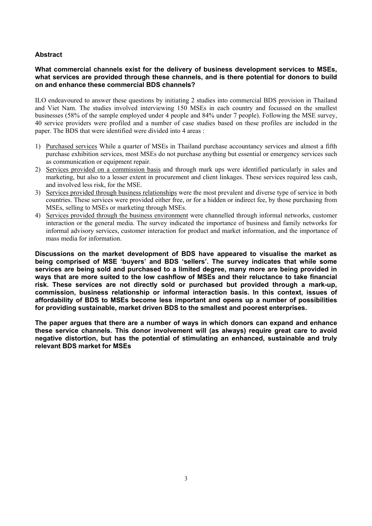# **Abstract**

# **What commercial channels exist for the delivery of business development services to MSEs, what services are provided through these channels, and is there potential for donors to build on and enhance these commercial BDS channels?**

ILO endeavoured to answer these questions by initiating 2 studies into commercial BDS provision in Thailand and Viet Nam. The studies involved interviewing 150 MSEs in each country and focussed on the smallest businesses (58% of the sample employed under 4 people and 84% under 7 people). Following the MSE survey, 40 service providers were profiled and a number of case studies based on these profiles are included in the paper. The BDS that were identified were divided into 4 areas :

- 1) Purchased services While a quarter of MSEs in Thailand purchase accountancy services and almost a fifth purchase exhibition services, most MSEs do not purchase anything but essential or emergency services such as communication or equipment repair.
- 2) Services provided on a commission basis and through mark ups were identified particularly in sales and marketing, but also to a lesser extent in procurement and client linkages. These services required less cash, and involved less risk, for the MSE.
- 3) Services provided through business relationships were the most prevalent and diverse type of service in both countries. These services were provided either free, or for a hidden or indirect fee, by those purchasing from MSEs, selling to MSEs or marketing through MSEs.
- 4) Services provided through the business environment were channelled through informal networks, customer interaction or the general media. The survey indicated the importance of business and family networks for informal advisory services, customer interaction for product and market information, and the importance of mass media for information.

**Discussions on the market development of BDS have appeared to visualise the market as being comprised of MSE 'buyers' and BDS 'sellers'. The survey indicates that while some services are being sold and purchased to a limited degree, many more are being provided in ways that are more suited to the low cashflow of MSEs and their reluctance to take financial risk. These services are not directly sold or purchased but provided through a mark-up, commission, business relationship or informal interaction basis. In this context, issues of affordability of BDS to MSEs become less important and opens up a number of possibilities for providing sustainable, market driven BDS to the smallest and poorest enterprises.** 

**The paper argues that there are a number of ways in which donors can expand and enhance these service channels. This donor involvement will (as always) require great care to avoid negative distortion, but has the potential of stimulating an enhanced, sustainable and truly relevant BDS market for MSEs**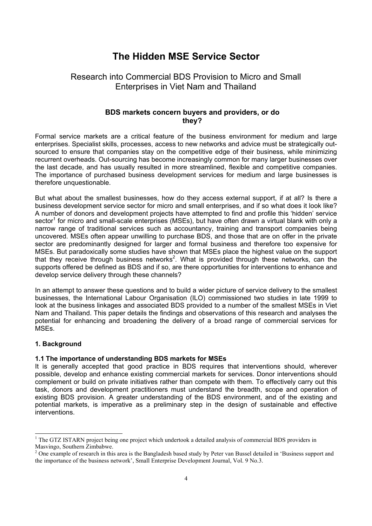# **The Hidden MSE Service Sector**

# Research into Commercial BDS Provision to Micro and Small Enterprises in Viet Nam and Thailand

# **BDS markets concern buyers and providers, or do they?**

Formal service markets are a critical feature of the business environment for medium and large enterprises. Specialist skills, processes, access to new networks and advice must be strategically outsourced to ensure that companies stay on the competitive edge of their business, while minimizing recurrent overheads. Out-sourcing has become increasingly common for many larger businesses over the last decade, and has usually resulted in more streamlined, flexible and competitive companies. The importance of purchased business development services for medium and large businesses is therefore unquestionable.

But what about the smallest businesses, how do they access external support, if at all? Is there a business development service sector for micro and small enterprises, and if so what does it look like? A number of donors and development projects have attempted to find and profile this 'hidden' service sector<sup>1</sup> for micro and small-scale enterprises (MSEs), but have often drawn a virtual blank with only a narrow range of traditional services such as accountancy, training and transport companies being uncovered. MSEs often appear unwilling to purchase BDS, and those that are on offer in the private sector are predominantly designed for larger and formal business and therefore too expensive for MSEs. But paradoxically some studies have shown that MSEs place the highest value on the support that they receive through business networks<sup>2</sup>. What is provided through these networks, can the supports offered be defined as BDS and if so, are there opportunities for interventions to enhance and develop service delivery through these channels?

In an attempt to answer these questions and to build a wider picture of service delivery to the smallest businesses, the International Labour Organisation (ILO) commissioned two studies in late 1999 to look at the business linkages and associated BDS provided to a number of the smallest MSEs in Viet Nam and Thailand. This paper details the findings and observations of this research and analyses the potential for enhancing and broadening the delivery of a broad range of commercial services for MSEs.

# **1. Background**

 $\overline{a}$ 

# **1.1 The importance of understanding BDS markets for MSEs**

It is generally accepted that good practice in BDS requires that interventions should, wherever possible, develop and enhance existing commercial markets for services. Donor interventions should complement or build on private initiatives rather than compete with them. To effectively carry out this task, donors and development practitioners must understand the breadth, scope and operation of existing BDS provision. A greater understanding of the BDS environment, and of the existing and potential markets, is imperative as a preliminary step in the design of sustainable and effective interventions.

<sup>&</sup>lt;sup>1</sup> The GTZ ISTARN project being one project which undertook a detailed analysis of commercial BDS providers in Masvingo, Southern Zimbabwe.

 $2$  One example of research in this area is the Bangladesh based study by Peter van Bussel detailed in 'Business support and the importance of the business network', Small Enterprise Development Journal, Vol. 9 No.3.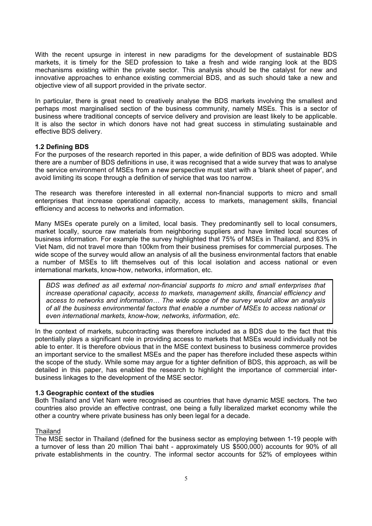With the recent upsurge in interest in new paradigms for the development of sustainable BDS markets, it is timely for the SED profession to take a fresh and wide ranging look at the BDS mechanisms existing within the private sector. This analysis should be the catalyst for new and innovative approaches to enhance existing commercial BDS, and as such should take a new and objective view of all support provided in the private sector.

In particular, there is great need to creatively analyse the BDS markets involving the smallest and perhaps most marginalised section of the business community, namely MSEs. This is a sector of business where traditional concepts of service delivery and provision are least likely to be applicable. It is also the sector in which donors have not had great success in stimulating sustainable and effective BDS delivery.

# **1.2 Defining BDS**

For the purposes of the research reported in this paper, a wide definition of BDS was adopted. While there are a number of BDS definitions in use, it was recognised that a wide survey that was to analyse the service environment of MSEs from a new perspective must start with a 'blank sheet of paper', and avoid limiting its scope through a definition of service that was too narrow.

The research was therefore interested in all external non-financial supports to micro and small enterprises that increase operational capacity, access to markets, management skills, financial efficiency and access to networks and information.

Many MSEs operate purely on a limited, local basis. They predominantly sell to local consumers, market locally, source raw materials from neighboring suppliers and have limited local sources of business information. For example the survey highlighted that 75% of MSEs in Thailand, and 83% in Viet Nam, did not travel more than 100km from their business premises for commercial purposes. The wide scope of the survey would allow an analysis of all the business environmental factors that enable a number of MSEs to lift themselves out of this local isolation and access national or even international markets, know-how, networks, information, etc.

*BDS was defined as all external non-financial supports to micro and small enterprises that increase operational capacity, access to markets, management skills, financial efficiency and access to networks and information… The wide scope of the survey would allow an analysis of all the business environmental factors that enable a number of MSEs to access national or even international markets, know-how, networks, information, etc.* 

In the context of markets, subcontracting was therefore included as a BDS due to the fact that this potentially plays a significant role in providing access to markets that MSEs would individually not be able to enter. It is therefore obvious that in the MSE context business to business commerce provides an important service to the smallest MSEs and the paper has therefore included these aspects within the scope of the study. While some may argue for a tighter definition of BDS, this approach, as will be detailed in this paper, has enabled the research to highlight the importance of commercial interbusiness linkages to the development of the MSE sector.

# **1.3 Geographic context of the studies**

Both Thailand and Viet Nam were recognised as countries that have dynamic MSE sectors. The two countries also provide an effective contrast, one being a fully liberalized market economy while the other a country where private business has only been legal for a decade.

#### Thailand

The MSE sector in Thailand (defined for the business sector as employing between 1-19 people with a turnover of less than 20 million Thai baht - approximately US \$500,000) accounts for 90% of all private establishments in the country. The informal sector accounts for 52% of employees within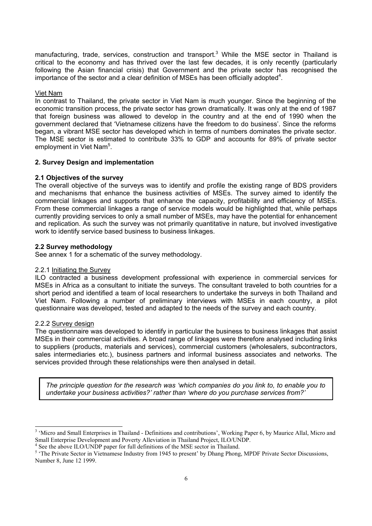manufacturing, trade, services, construction and transport.<sup>3</sup> While the MSE sector in Thailand is critical to the economy and has thrived over the last few decades, it is only recently (particularly following the Asian financial crisis) that Government and the private sector has recognised the importance of the sector and a clear definition of MSEs has been officially adopted<sup>4</sup>.

# Viet Nam

In contrast to Thailand, the private sector in Viet Nam is much younger. Since the beginning of the economic transition process, the private sector has grown dramatically. It was only at the end of 1987 that foreign business was allowed to develop in the country and at the end of 1990 when the government declared that 'Vietnamese citizens have the freedom to do business'. Since the reforms began, a vibrant MSE sector has developed which in terms of numbers dominates the private sector. The MSE sector is estimated to contribute 33% to GDP and accounts for 89% of private sector employment in Viet Nam<sup>5</sup>.

# **2. Survey Design and implementation**

# **2.1 Objectives of the survey**

The overall objective of the surveys was to identify and profile the existing range of BDS providers and mechanisms that enhance the business activities of MSEs. The survey aimed to identify the commercial linkages and supports that enhance the capacity, profitability and efficiency of MSEs. From these commercial linkages a range of service models would be highlighted that, while perhaps currently providing services to only a small number of MSEs, may have the potential for enhancement and replication. As such the survey was not primarily quantitative in nature, but involved investigative work to identify service based business to business linkages.

# **2.2 Survey methodology**

See annex 1 for a schematic of the survey methodology.

# 2.2.1 Initiating the Survey

ILO contracted a business development professional with experience in commercial services for MSEs in Africa as a consultant to initiate the surveys. The consultant traveled to both countries for a short period and identified a team of local researchers to undertake the surveys in both Thailand and Viet Nam. Following a number of preliminary interviews with MSEs in each country, a pilot questionnaire was developed, tested and adapted to the needs of the survey and each country.

# 2.2.2 Survey design

 $\overline{a}$ 

The questionnaire was developed to identify in particular the business to business linkages that assist MSEs in their commercial activities. A broad range of linkages were therefore analysed including links to suppliers (products, materials and services), commercial customers (wholesalers, subcontractors, sales intermediaries etc.), business partners and informal business associates and networks. The services provided through these relationships were then analysed in detail.

*The principle question for the research was 'which companies do you link to, to enable you to undertake your business activities?' rather than 'where do you purchase services from?'* 

<sup>&</sup>lt;sup>3</sup> 'Micro and Small Enterprises in Thailand - Definitions and contributions', Working Paper 6, by Maurice Allal, Micro and Small Enterprise Development and Poverty Alleviation in Thailand Project, ILO/UNDP.

<sup>4</sup> See the above ILO/UNDP paper for full definitions of the MSE sector in Thailand.

<sup>&</sup>lt;sup>5</sup> 'The Private Sector in Vietnamese Industry from 1945 to present' by Dhang Phong, MPDF Private Sector Discussions, Number 8, June 12 1999.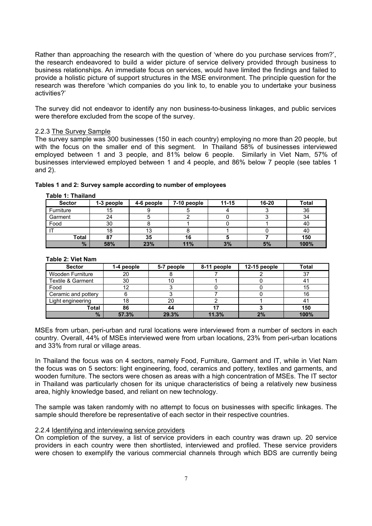Rather than approaching the research with the question of 'where do you purchase services from?', the research endeavored to build a wider picture of service delivery provided through business to business relationships. An immediate focus on services, would have limited the findings and failed to provide a holistic picture of support structures in the MSE environment. The principle question for the research was therefore 'which companies do you link to, to enable you to undertake your business activities?'

The survey did not endeavor to identify any non business-to-business linkages, and public services were therefore excluded from the scope of the survey.

#### 2.2.3 The Survey Sample

The survey sample was 300 businesses (150 in each country) employing no more than 20 people, but with the focus on the smaller end of this segment. In Thailand 58% of businesses interviewed employed between 1 and 3 people, and 81% below 6 people. Similarly in Viet Nam, 57% of businesses interviewed employed between 1 and 4 people, and 86% below 7 people (see tables 1 and 2).

| <b>Table 1: Thailand</b> |            |            |             |           |           |              |  |  |
|--------------------------|------------|------------|-------------|-----------|-----------|--------------|--|--|
| <b>Sector</b>            | 1-3 people | 4-6 people | 7-10 people | $11 - 15$ | $16 - 20$ | <b>Total</b> |  |  |
| Furniture                | 15         |            |             |           |           | 36           |  |  |
| Garment                  | 24         |            |             |           |           | 34           |  |  |
| Food                     | 30         |            |             |           |           | 40           |  |  |
|                          | 18         | 13         |             |           |           | 40           |  |  |
| Total                    | 87         | 35         | 16          |           |           | 150          |  |  |
| $\frac{9}{6}$            | 58%        | 23%        | 11%         | 3%        | 5%        | 100%         |  |  |

# **Tables 1 and 2: Survey sample according to number of employees**

# **Table 2: Viet Nam**

| <b>Sector</b>       | 1-4 people | 5-7 people | 8-11 people | 12-15 people | <b>Total</b> |
|---------------------|------------|------------|-------------|--------------|--------------|
| Wooden Furniture    | 20         |            |             |              | 37           |
| Textile & Garment   | 30         |            |             |              | 4.           |
| Food                |            |            |             |              | 15           |
| Ceramic and pottery |            |            |             |              | 16           |
| Light engineering   | 18         | 20         |             |              | 41           |
| Total               | 86         | 44         |             |              | 150          |
| $\frac{9}{6}$       | 57.3%      | 29.3%      | 11.3%       | 2%           | 100%         |

MSEs from urban, peri-urban and rural locations were interviewed from a number of sectors in each country. Overall, 44% of MSEs interviewed were from urban locations, 23% from peri-urban locations and 33% from rural or village areas.

In Thailand the focus was on 4 sectors, namely Food, Furniture, Garment and IT, while in Viet Nam the focus was on 5 sectors: light engineering, food, ceramics and pottery, textiles and garments, and wooden furniture. The sectors were chosen as areas with a high concentration of MSEs. The IT sector in Thailand was particularly chosen for its unique characteristics of being a relatively new business area, highly knowledge based, and reliant on new technology.

The sample was taken randomly with no attempt to focus on businesses with specific linkages. The sample should therefore be representative of each sector in their respective countries.

### 2.2.4 Identifying and interviewing service providers

On completion of the survey, a list of service providers in each country was drawn up. 20 service providers in each country were then shortlisted, interviewed and profiled. These service providers were chosen to exemplify the various commercial channels through which BDS are currently being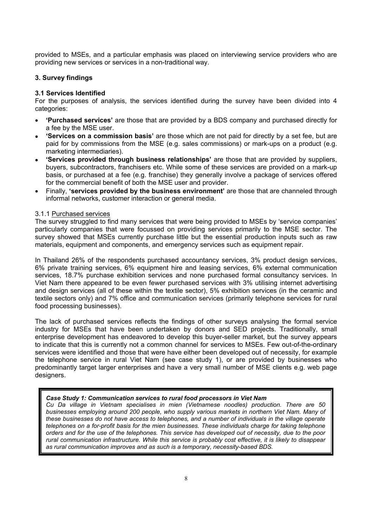provided to MSEs, and a particular emphasis was placed on interviewing service providers who are providing new services or services in a non-traditional way.

# **3. Survey findings**

# **3.1 Services Identified**

For the purposes of analysis, the services identified during the survey have been divided into 4 categories:

- **'Purchased services'** are those that are provided by a BDS company and purchased directly for a fee by the MSE user.
- **'Services on a commission basis'** are those which are not paid for directly by a set fee, but are paid for by commissions from the MSE (e.g. sales commissions) or mark-ups on a product (e.g. marketing intermediaries).
- **'Services provided through business relationships'** are those that are provided by suppliers, buyers, subcontractors, franchisers etc. While some of these services are provided on a mark-up basis, or purchased at a fee (e.g. franchise) they generally involve a package of services offered for the commercial benefit of both the MSE user and provider.
- Finally, **'services provided by the business environment'** are those that are channeled through informal networks, customer interaction or general media.

# 3.1.1 Purchased services

The survey struggled to find many services that were being provided to MSEs by 'service companies' particularly companies that were focussed on providing services primarily to the MSE sector. The survey showed that MSEs currently purchase little but the essential production inputs such as raw materials, equipment and components, and emergency services such as equipment repair.

In Thailand 26% of the respondents purchased accountancy services, 3% product design services, 6% private training services, 6% equipment hire and leasing services, 6% external communication services, 18.7% purchase exhibition services and none purchased formal consultancy services. In Viet Nam there appeared to be even fewer purchased services with 3% utilising internet advertising and design services (all of these within the textile sector), 5% exhibition services (in the ceramic and textile sectors only) and 7% office and communication services (primarily telephone services for rural food processing businesses).

The lack of purchased services reflects the findings of other surveys analysing the formal service industry for MSEs that have been undertaken by donors and SED projects. Traditionally, small enterprise development has endeavored to develop this buyer-seller market, but the survey appears to indicate that this is currently not a common channel for services to MSEs. Few out-of-the-ordinary services were identified and those that were have either been developed out of necessity, for example the telephone service in rural Viet Nam (see case study 1), or are provided by businesses who predominantly target larger enterprises and have a very small number of MSE clients e.g. web page designers.

# *Case Study 1: Communication services to rural food processors in Viet Nam*

*Cu Da village in Vietnam specialises in mien (Vietnamese noodles) production. There are 50 businesses employing around 200 people, who supply various markets in northern Viet Nam. Many of these businesses do not have access to telephones, and a number of individuals in the village operate telephones on a for-profit basis for the mien businesses. These individuals charge for taking telephone orders and for the use of the telephones. This service has developed out of necessity, due to the poor rural communication infrastructure. While this service is probably cost effective, it is likely to disappear as rural communication improves and as such is a temporary, necessity-based BDS.*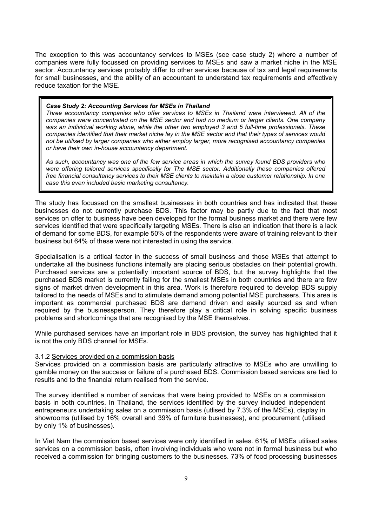The exception to this was accountancy services to MSEs (see case study 2) where a number of companies were fully focussed on providing services to MSEs and saw a market niche in the MSE sector. Accountancy services probably differ to other services because of tax and legal requirements for small businesses, and the ability of an accountant to understand tax requirements and effectively reduce taxation for the MSE.

#### *Case Study 2: Accounting Services for MSEs in Thailand*

*Three accountancy companies who offer services to MSEs in Thailand were interviewed. All of the companies were concentrated on the MSE sector and had no medium or larger clients. One company was an individual working alone, while the other two employed 3 and 5 full-time professionals. These companies identified that their market niche lay in the MSE sector and that their types of services would not be utilised by larger companies who either employ larger, more recognised accountancy companies or have their own in-house accountancy department.* 

*As such, accountancy was one of the few service areas in which the survey found BDS providers who were offering tailored services specifically for The MSE sector. Additionally these companies offered free financial consultancy services to their MSE clients to maintain a close customer relationship. In one case this even included basic marketing consultancy.* 

The study has focussed on the smallest businesses in both countries and has indicated that these businesses do not currently purchase BDS. This factor may be partly due to the fact that most services on offer to business have been developed for the formal business market and there were few services identified that were specifically targeting MSEs. There is also an indication that there is a lack of demand for some BDS, for example 50% of the respondents were aware of training relevant to their business but 64% of these were not interested in using the service.

Specialisation is a critical factor in the success of small business and those MSEs that attempt to undertake all the business functions internally are placing serious obstacles on their potential growth. Purchased services are a potentially important source of BDS, but the survey highlights that the purchased BDS market is currently failing for the smallest MSEs in both countries and there are few signs of market driven development in this area. Work is therefore required to develop BDS supply tailored to the needs of MSEs and to stimulate demand among potential MSE purchasers. This area is important as commercial purchased BDS are demand driven and easily sourced as and when required by the businessperson. They therefore play a critical role in solving specific business problems and shortcomings that are recognised by the MSE themselves.

While purchased services have an important role in BDS provision, the survey has highlighted that it is not the only BDS channel for MSEs.

# 3.1.2 Services provided on a commission basis

Services provided on a commission basis are particularly attractive to MSEs who are unwilling to gamble money on the success or failure of a purchased BDS. Commission based services are tied to results and to the financial return realised from the service.

The survey identified a number of services that were being provided to MSEs on a commission basis in both countries. In Thailand, the services identified by the survey included independent entrepreneurs undertaking sales on a commission basis (utlised by 7.3% of the MSEs), display in showrooms (utilised by 16% overall and 39% of furniture businesses), and procurement (utilised by only 1% of businesses).

In Viet Nam the commission based services were only identified in sales. 61% of MSEs utilised sales services on a commission basis, often involving individuals who were not in formal business but who received a commission for bringing customers to the businesses. 73% of food processing businesses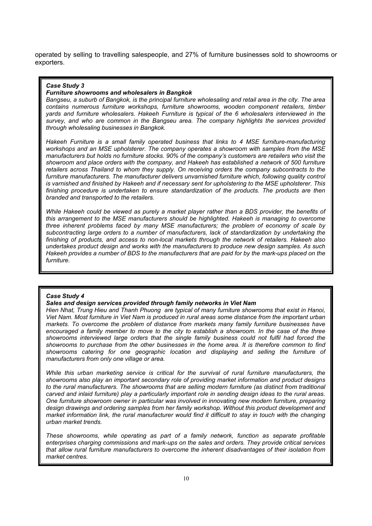operated by selling to travelling salespeople, and 27% of furniture businesses sold to showrooms or exporters.

#### *Case Study 3*

#### *Furniture showrooms and wholesalers in Bangkok*

*Bangseu, a suburb of Bangkok, is the principal furniture wholesaling and retail area in the city. The area contains numerous furniture workshops, furniture showrooms, wooden component retailers, timber yards and furniture wholesalers. Hakeeh Furniture is typical of the 6 wholesalers interviewed in the survey, and who are common in the Bangseu area. The company highlights the services provided through wholesaling businesses in Bangkok.* 

*Hakeeh Furniture is a small family operated business that links to 4 MSE furniture-manufacturing workshops and an MSE upholsterer. The company operates a showroom with samples from the MSE manufacturers but holds no furniture stocks. 90% of the company's customers are retailers who visit the showroom and place orders with the company, and Hakeeh has established a network of 500 furniture retailers across Thailand to whom they supply. On receiving orders the company subcontracts to the*  furniture manufacturers. The manufacturer delivers unvarnished furniture which, following quality control *is varnished and finished by Hakeeh and if necessary sent for upholstering to the MSE upholsterer. This finishing procedure is undertaken to ensure standardization of the products. The products are then branded and transported to the retailers.* 

*While Hakeeh could be viewed as purely a market player rather than a BDS provider, the benefits of this arrangement to the MSE manufacturers should be highlighted. Hakeeh is managing to overcome three inherent problems faced by many MSE manufacturers; the problem of economy of scale by subcontracting large orders to a number of manufacturers, lack of standardization by undertaking the finishing of products, and access to non-local markets through the network of retailers. Hakeeh also undertakes product design and works with the manufacturers to produce new design samples. As such Hakeeh provides a number of BDS to the manufacturers that are paid for by the mark-ups placed on the furniture.* 

#### *Case Study 4*

#### *Sales and design services provided through family networks in Viet Nam*

*Hien Nhat, Trung Hieu and Thanh Phuong are typical of many furniture showrooms that exist in Hanoi, Viet Nam. Most furniture in Viet Nam is produced in rural areas some distance from the important urban markets. To overcome the problem of distance from markets many family furniture businesses have encouraged a family member to move to the city to establish a showroom. In the case of the three showrooms interviewed large orders that the single family business could not fulfil had forced the showrooms to purchase from the other businesses in the home area. It is therefore common to find showrooms catering for one geographic location and displaying and selling the furniture of manufacturers from only one village or area.*

*While this urban marketing service is critical for the survival of rural furniture manufacturers, the showrooms also play an important secondary role of providing market information and product designs to the rural manufacturers. The showrooms that are selling modern furniture (as distinct from traditional carved and inlaid furniture) play a particularly important role in sending design ideas to the rural areas. One furniture showroom owner in particular was involved in innovating new modern furniture, preparing design drawings and ordering samples from her family workshop. Without this product development and*  market information link, the rural manufacturer would find it difficult to stay in touch with the changing *urban market trends.* 

*These showrooms, while operating as part of a family network, function as separate profitable enterprises charging commissions and mark-ups on the sales and orders. They provide critical services that allow rural furniture manufacturers to overcome the inherent disadvantages of their isolation from market centres.*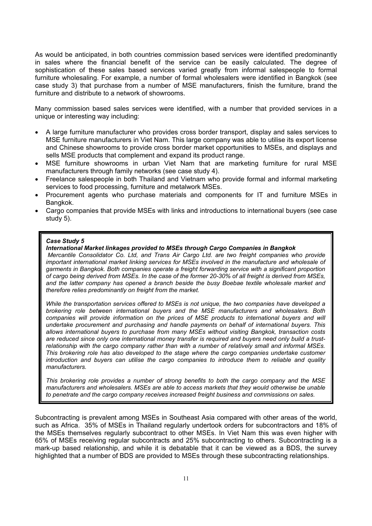As would be anticipated, in both countries commission based services were identified predominantly in sales where the financial benefit of the service can be easily calculated. The degree of sophistication of these sales based services varied greatly from informal salespeople to formal furniture wholesaling. For example, a number of formal wholesalers were identified in Bangkok (see case study 3) that purchase from a number of MSE manufacturers, finish the furniture, brand the furniture and distribute to a network of showrooms.

Many commission based sales services were identified, with a number that provided services in a unique or interesting way including:

- A large furniture manufacturer who provides cross border transport, display and sales services to MSE furniture manufacturers in Viet Nam. This large company was able to utilise its export license and Chinese showrooms to provide cross border market opportunities to MSEs, and displays and sells MSE products that complement and expand its product range.
- MSE furniture showrooms in urban Viet Nam that are marketing furniture for rural MSE manufacturers through family networks (see case study 4).
- Freelance salespeople in both Thailand and Vietnam who provide formal and informal marketing services to food processing, furniture and metalwork MSEs.
- Procurement agents who purchase materials and components for IT and furniture MSEs in Bangkok.
- Cargo companies that provide MSEs with links and introductions to international buyers (see case study 5).

#### *Case Study 5*

#### *International Market linkages provided to MSEs through Cargo Companies in Bangkok*

 *Mercantile Consolidator Co. Ltd, and Trans Air Cargo Ltd. are two freight companies who provide important international market linking services for MSEs involved in the manufacture and wholesale of garments in Bangkok. Both companies operate a freight forwarding service with a significant proportion of cargo being derived from MSEs. In the case of the former 20-30% of all freight is derived from MSEs, and the latter company has opened a branch beside the busy Boebae textile wholesale market and therefore relies predominantly on freight from the market.* 

*While the transportation services offered to MSEs is not unique, the two companies have developed a brokering role between international buyers and the MSE manufacturers and wholesalers. Both companies will provide information on the prices of MSE products to international buyers and will undertake procurement and purchasing and handle payments on behalf of international buyers. This allows international buyers to purchase from many MSEs without visiting Bangkok, transaction costs are reduced since only one international money transfer is required and buyers need only build a trustrelationship with the cargo company rather than with a number of relatively small and informal MSEs. This brokering role has also developed to the stage where the cargo companies undertake customer introduction and buyers can utilise the cargo companies to introduce them to reliable and quality manufacturers.* 

*This brokering role provides a number of strong benefits to both the cargo company and the MSE manufacturers and wholesalers. MSEs are able to access markets that they would otherwise be unable to penetrate and the cargo company receives increased freight business and commissions on sales.*

Subcontracting is prevalent among MSEs in Southeast Asia compared with other areas of the world, such as Africa. 35% of MSEs in Thailand regularly undertook orders for subcontractors and 18% of the MSEs themselves regularly subcontract to other MSEs. In Viet Nam this was even higher with 65% of MSEs receiving regular subcontracts and 25% subcontracting to others. Subcontracting is a mark-up based relationship, and while it is debatable that it can be viewed as a BDS, the survey highlighted that a number of BDS are provided to MSEs through these subcontracting relationships.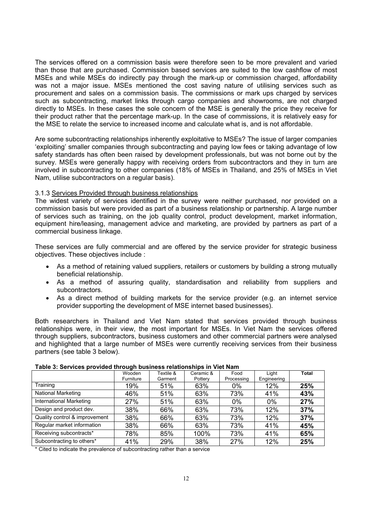The services offered on a commission basis were therefore seen to be more prevalent and varied than those that are purchased. Commission based services are suited to the low cashflow of most MSEs and while MSEs do indirectly pay through the mark-up or commission charged, affordability was not a major issue. MSEs mentioned the cost saving nature of utilising services such as procurement and sales on a commission basis. The commissions or mark ups charged by services such as subcontracting, market links through cargo companies and showrooms, are not charged directly to MSEs. In these cases the sole concern of the MSE is generally the price they receive for their product rather that the percentage mark-up. In the case of commissions, it is relatively easy for the MSE to relate the service to increased income and calculate what is, and is not affordable.

Are some subcontracting relationships inherently exploitative to MSEs? The issue of larger companies 'exploiting' smaller companies through subcontracting and paying low fees or taking advantage of low safety standards has often been raised by development professionals, but was not borne out by the survey. MSEs were generally happy with receiving orders from subcontractors and they in turn are involved in subcontracting to other companies (18% of MSEs in Thailand, and 25% of MSEs in Viet Nam, utilise subcontractors on a regular basis).

# 3.1.3 Services Provided through business relationships

The widest variety of services identified in the survey were neither purchased, nor provided on a commission basis but were provided as part of a business relationship or partnership. A large number of services such as training, on the job quality control, product development, market information, equipment hire/leasing, management advice and marketing, are provided by partners as part of a commercial business linkage.

These services are fully commercial and are offered by the service provider for strategic business objectives. These objectives include :

- As a method of retaining valued suppliers, retailers or customers by building a strong mutually beneficial relationship.
- As a method of assuring quality, standardisation and reliability from suppliers and subcontractors.
- As a direct method of building markets for the service provider (e.g. an internet service provider supporting the development of MSE internet based businesses).

Both researchers in Thailand and Viet Nam stated that services provided through business relationships were, in their view, the most important for MSEs. In Viet Nam the services offered through suppliers, subcontractors, business customers and other commercial partners were analysed and highlighted that a large number of MSEs were currently receiving services from their business partners (see table 3 below).

| .                              |           |           |           |            |             |              |  |
|--------------------------------|-----------|-----------|-----------|------------|-------------|--------------|--|
|                                | Wooden    | Textile & | Ceramic & | Food       | Liaht       | <b>Total</b> |  |
|                                | Furniture | Garment   | Pottery   | Processing | Engineering |              |  |
| Training                       | 19%       | 51%       | 63%       | $0\%$      | 12%         | 25%          |  |
| <b>National Marketing</b>      | 46%       | 51%       | 63%       | 73%        | 41%         | 43%          |  |
| <b>International Marketing</b> | 27%       | 51%       | 63%       | $0\%$      | $0\%$       | 27%          |  |
| Design and product dev.        | 38%       | 66%       | 63%       | 73%        | 12%         | 37%          |  |
| Quality control & improvement  | 38%       | 66%       | 63%       | 73%        | 12%         | 37%          |  |
| Regular market information     | 38%       | 66%       | 63%       | 73%        | 41%         | 45%          |  |
| Receiving subcontracts*        | 78%       | 85%       | 100%      | 73%        | 41%         | 65%          |  |
| Subcontracting to others*      | 41%       | 29%       | 38%       | 27%        | 12%         | 25%          |  |

#### **Table 3: Services provided through business relationships in Viet Nam**

\* Cited to indicate the prevalence of subcontracting rather than a service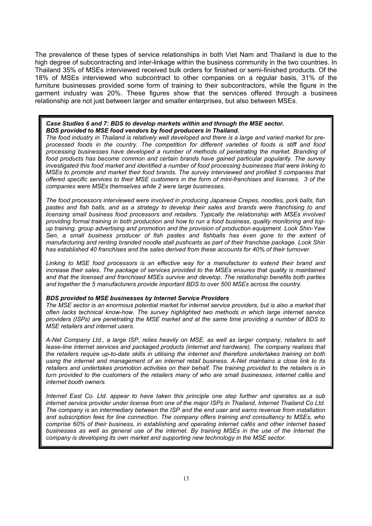The prevalence of these types of service relationships in both Viet Nam and Thailand is due to the high degree of subcontracting and inter-linkage within the business community in the two countries. In Thailand 35% of MSEs interviewed received bulk orders for finished or semi-finished products. Of the 18% of MSEs interviewed who subcontract to other companies on a regular basis, 31% of the furniture businesses provided some form of training to their subcontractors, while the figure in the garment industry was 20%. These figures show that the services offered through a business relationship are not just between larger and smaller enterprises, but also between MSEs.

#### *Case Studies 6 and 7: BDS to develop markets within and through the MSE sector. BDS provided to MSE food vendors by food producers in Thailand.*

*The food industry in Thailand is relatively well developed and there is a large and varied market for preprocessed foods in the country. The competition for different varieties of foods is stiff and food processing businesses have developed a number of methods of penetrating the market. Branding of food products has become common and certain brands have gained particular popularity. The survey investigated this food market and identified a number of food processing businesses that were linking to MSEs to promote and market their food brands. The survey interviewed and profiled 5 companies that offered specific services to their MSE customers in the form of mini-franchises and licenses. 3 of the companies were MSEs themselves while 2 were large businesses.* 

*The food processors interviewed were involved in producing Japanese Crepes, noodles, pork balls, fish pastes and fish balls, and as a strategy to develop their sales and brands were franchising to and licensing small business food processors and retailers. Typically the relationship with MSEs involved providing formal training in both production and how to run a food business, quality monitoring and topup training, group advertising and promotion and the provision of production equipment. Look Shin-Yaw*  Sen, a small business producer of fish pastes and fishballs has even gone to the extent of *manufacturing and renting branded noodle stall pushcarts as part of their franchise package. Look Shin has established 40 franchises and the sales derived from these accounts for 40% of their turnover.* 

*Linking to MSE food processors is an effective way for a manufacturer to extend their brand and increase their sales. The package of services provided to the MSEs ensures that quality is maintained and that the licensed and franchised MSEs survive and develop. The relationship benefits both parties and together the 5 manufacturers provide important BDS to over 500 MSEs across the country.* 

#### *BDS provided to MSE businesses by Internet Service Providers*

*The MSE sector is an enormous potential market for internet service providers, but is also a market that often lacks technical know-how. The survey highlighted two methods in which large internet service providers (ISPs) are penetrating the MSE market and at the same time providing a number of BDS to MSE retailers and internet users.* 

*A-Net Company Ltd., a large ISP, relies heavily on MSE, as well as larger company, retailers to sell*  lease-line internet services and packaged products (internet and hardware). The company realises that *the retailers require up-to-date skills in utilising the internet and therefore undertakes training on both using the internet and management of an internet retail business. A-Net maintains a close link to its retailers and undertakes promotion activities on their behalf. The training provided to the retailers is in turn provided to the customers of the retailers many of who are small businesses, internet cafés and internet booth owners.* 

*Internet East Co. Ltd. appear to have taken this principle one step further and operates as a sub internet service provider under license from one of the major ISPs in Thailand, Internet Thailand Co Ltd. The company is an intermediary between the ISP and the end user and earns revenue from installation and subscription fees for line connection. The company offers training and consultancy to MSEs, who comprise 60% of their business, in establishing and operating internet cafés and other internet based businesses as well as general use of the internet. By training MSEs in the use of the Internet the company is developing its own market and supporting new technology in the MSE sector.*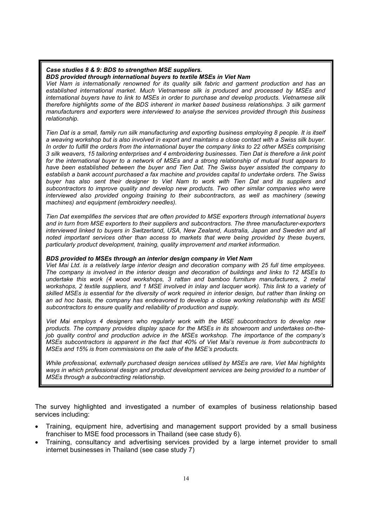### *Case studies 8 & 9: BDS to strengthen MSE suppliers.*

*BDS provided through international buyers to textile MSEs in Viet Nam* 

*Viet Nam is internationally renowned for its quality silk fabric and garment production and has an established international market. Much Vietnamese silk is produced and processed by MSEs and international buyers have to link to MSEs in order to purchase and develop products. Vietnamese silk therefore highlights some of the BDS inherent in market based business relationships. 3 silk garment manufacturers and exporters were interviewed to analyse the services provided through this business relationship.* 

*Tien Dat is a small, family run silk manufacturing and exporting business employing 8 people. It is itself a weaving workshop but is also involved in export and maintains a close contact with a Swiss silk buyer. In order to fulfill the orders from the international buyer the company links to 22 other MSEs comprising 3 silk weavers, 15 tailoring enterprises and 4 embroidering businesses. Tien Dat is therefore a link point for the international buyer to a network of MSEs and a strong relationship of mutual trust appears to have been established between the buyer and Tien Dat. The Swiss buyer assisted the company to establish a bank account purchased a fax machine and provides capital to undertake orders. The Swiss*  buyer has also sent their designer to Viet Nam to work with Tien Dat and its suppliers and *subcontractors to improve quality and develop new products. Two other similar companies who were interviewed also provided ongoing training to their subcontractors, as well as machinery (sewing machines) and equipment (embroidery needles).* 

*Tien Dat exemplifies the services that are often provided to MSE exporters through international buyers and in turn from MSE exporters to their suppliers and subcontractors. The three manufacturer-exporters interviewed linked to buyers in Switzerland, USA, New Zealand, Australia, Japan and Sweden and all noted important services other than access to markets that were being provided by these buyers, particularly product development, training, quality improvement and market information.* 

# *BDS provided to MSEs through an interior design company in Viet Nam*

*Viet Mai Ltd. is a relatively large interior design and decoration company with 25 full time employees. The company is involved in the interior design and decoration of buildings and links to 12 MSEs to undertake this work (4 wood workshops, 3 rattan and bamboo furniture manufacturers, 2 metal workshops, 2 textile suppliers, and 1 MSE involved in inlay and lacquer work). This link to a variety of skilled MSEs is essential for the diversity of work required in interior design, but rather than linking on an ad hoc basis, the company has endeavored to develop a close working relationship with its MSE subcontractors to ensure quality and reliability of production and supply.* 

*Viet Mai employs 4 designers who regularly work with the MSE subcontractors to develop new products. The company provides display space for the MSEs in its showroom and undertakes on-thejob quality control and production advice in the MSEs workshop. The importance of the company's MSEs subcontractors is apparent in the fact that 40% of Viet Mai's revenue is from subcontracts to MSEs and 15% is from commissions on the sale of the MSE's products.* 

*While professional, externally purchased design services utilised by MSEs are rare, Viet Mai highlights ways in which professional design and product development services are being provided to a number of MSEs through a subcontracting relationship.*

The survey highlighted and investigated a number of examples of business relationship based services including:

- Training, equipment hire, advertising and management support provided by a small business franchiser to MSE food processors in Thailand (see case study 6).
- Training, consultancy and advertising services provided by a large internet provider to small internet businesses in Thailand (see case study 7)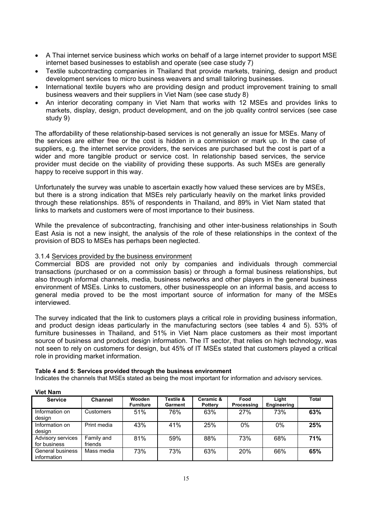- A Thai internet service business which works on behalf of a large internet provider to support MSE internet based businesses to establish and operate (see case study 7)
- Textile subcontracting companies in Thailand that provide markets, training, design and product development services to micro business weavers and small tailoring businesses.
- International textile buyers who are providing design and product improvement training to small business weavers and their suppliers in Viet Nam (see case study 8)
- An interior decorating company in Viet Nam that works with 12 MSEs and provides links to markets, display, design, product development, and on the job quality control services (see case study 9)

The affordability of these relationship-based services is not generally an issue for MSEs. Many of the services are either free or the cost is hidden in a commission or mark up. In the case of suppliers, e.g. the internet service providers, the services are purchased but the cost is part of a wider and more tangible product or service cost. In relationship based services, the service provider must decide on the viability of providing these supports. As such MSEs are generally happy to receive support in this way.

Unfortunately the survey was unable to ascertain exactly how valued these services are by MSEs, but there is a strong indication that MSEs rely particularly heavily on the market links provided through these relationships. 85% of respondents in Thailand, and 89% in Viet Nam stated that links to markets and customers were of most importance to their business.

While the prevalence of subcontracting, franchising and other inter-business relationships in South East Asia is not a new insight, the analysis of the role of these relationships in the context of the provision of BDS to MSEs has perhaps been neglected.

# 3.1.4 Services provided by the business environment

Commercial BDS are provided not only by companies and individuals through commercial transactions (purchased or on a commission basis) or through a formal business relationships, but also through informal channels, media, business networks and other players in the general business environment of MSEs. Links to customers, other businesspeople on an informal basis, and access to general media proved to be the most important source of information for many of the MSEs interviewed.

The survey indicated that the link to customers plays a critical role in providing business information, and product design ideas particularly in the manufacturing sectors (see tables 4 and 5). 53% of furniture businesses in Thailand, and 51% in Viet Nam place customers as their most important source of business and product design information. The IT sector, that relies on high technology, was not seen to rely on customers for design, but 45% of IT MSEs stated that customers played a critical role in providing market information.

**Table 4 and 5: Services provided through the business environment** 

Indicates the channels that MSEs stated as being the most important for information and advisory services.

| <b>Service</b>                    | <b>Channel</b>        | Wooden<br><b>Furniture</b> | Textile &<br>Garment | Ceramic &<br>Pottery | Food<br><b>Processing</b> | Liaht<br>Engineering | <b>Total</b> |
|-----------------------------------|-----------------------|----------------------------|----------------------|----------------------|---------------------------|----------------------|--------------|
| Information on<br>design          | Customers             | 51%                        | 76%                  | 63%                  | 27%                       | 73%                  | 63%          |
| Information on<br>design          | Print media           | 43%                        | 41%                  | 25%                  | 0%                        | 0%                   | 25%          |
| Advisory services<br>for business | Family and<br>friends | 81%                        | 59%                  | 88%                  | 73%                       | 68%                  | 71%          |
| General business<br>information   | Mass media            | 73%                        | 73%                  | 63%                  | 20%                       | 66%                  | 65%          |

#### **Viet Nam**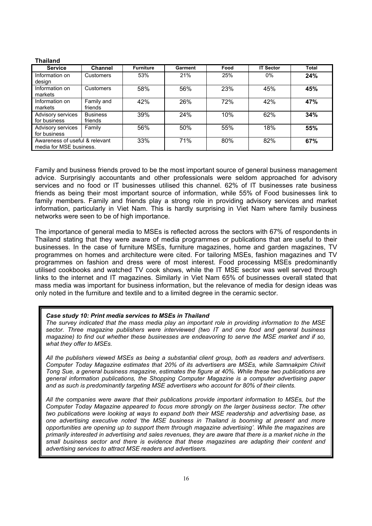#### **Thailand**

| <b>Service</b>                                            | <b>Channel</b>             | <b>Furniture</b> | Garment | Food | <b>IT Sector</b> | <b>Total</b> |
|-----------------------------------------------------------|----------------------------|------------------|---------|------|------------------|--------------|
| Information on<br>design                                  | Customers                  | 53%              | 21%     | 25%  | $0\%$            | 24%          |
| Information on<br>markets                                 | Customers                  | 58%              | 56%     | 23%  | 45%              | 45%          |
| Information on<br>markets                                 | Family and<br>friends      | 42%              | 26%     | 72%  | 42%              | 47%          |
| Advisory services<br>for business                         | <b>Business</b><br>friends | 39%              | 24%     | 10%  | 62%              | 34%          |
| Advisory services<br>for business                         | Family                     | 56%              | 50%     | 55%  | 18%              | 55%          |
| Awareness of useful & relevant<br>media for MSE business. |                            | 33%              | 71%     | 80%  | 82%              | 67%          |

Family and business friends proved to be the most important source of general business management advice. Surprisingly accountants and other professionals were seldom approached for advisory services and no food or IT businesses utilised this channel. 62% of IT businesses rate business friends as being their most important source of information, while 55% of Food businesses link to family members. Family and friends play a strong role in providing advisory services and market information, particularly in Viet Nam. This is hardly surprising in Viet Nam where family business networks were seen to be of high importance.

The importance of general media to MSEs is reflected across the sectors with 67% of respondents in Thailand stating that they were aware of media programmes or publications that are useful to their businesses. In the case of furniture MSEs, furniture magazines, home and garden magazines, TV programmes on homes and architecture were cited. For tailoring MSEs, fashion magazines and TV programmes on fashion and dress were of most interest. Food processing MSEs predominantly utilised cookbooks and watched TV cook shows, while the IT MSE sector was well served through links to the internet and IT magazines. Similarly in Viet Nam 65% of businesses overall stated that mass media was important for business information, but the relevance of media for design ideas was only noted in the furniture and textile and to a limited degree in the ceramic sector.

#### *Case study 10: Print media services to MSEs in Thailand*

*The survey indicated that the mass media play an important role in providing information to the MSE sector. Three magazine publishers were interviewed (two IT and one food and general business magazine) to find out whether these businesses are endeavoring to serve the MSE market and if so, what they offer to MSEs.* 

*All the publishers viewed MSEs as being a substantial client group, both as readers and advertisers. Computer Today Magazine estimates that 20% of its advertisers are MSEs, while Samnakpim Chivit Tong Sue, a general business magazine, estimates the figure at 40%. While these two publications are general information publications, the Shopping Computer Magazine is a computer advertising paper and as such is predominantly targeting MSE advertisers who account for 80% of their clients.* 

*All the companies were aware that their publications provide important information to MSEs, but the Computer Today Magazine appeared to focus more strongly on the larger business sector. The other two publications were looking at ways to expand both their MSE readership and advertising base, as one advertising executive noted 'the MSE business in Thailand is booming at present and more opportunities are opening up to support them through magazine advertising'. While the magazines are primarily interested in advertising and sales revenues, they are aware that there is a market niche in the small business sector and there is evidence that these magazines are adapting their content and advertising services to attract MSE readers and advertisers.*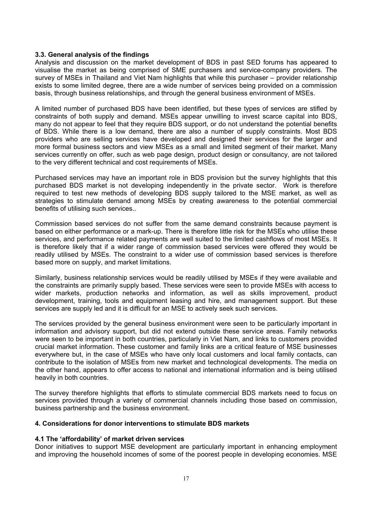# **3.3. General analysis of the findings**

Analysis and discussion on the market development of BDS in past SED forums has appeared to visualise the market as being comprised of SME purchasers and service-company providers. The survey of MSEs in Thailand and Viet Nam highlights that while this purchaser – provider relationship exists to some limited degree, there are a wide number of services being provided on a commission basis, through business relationships, and through the general business environment of MSEs.

A limited number of purchased BDS have been identified, but these types of services are stifled by constraints of both supply and demand. MSEs appear unwilling to invest scarce capital into BDS, many do not appear to feel that they require BDS support, or do not understand the potential benefits of BDS. While there is a low demand, there are also a number of supply constraints. Most BDS providers who are selling services have developed and designed their services for the larger and more formal business sectors and view MSEs as a small and limited segment of their market. Many services currently on offer, such as web page design, product design or consultancy, are not tailored to the very different technical and cost requirements of MSEs.

Purchased services may have an important role in BDS provision but the survey highlights that this purchased BDS market is not developing independently in the private sector. Work is therefore required to test new methods of developing BDS supply tailored to the MSE market, as well as strategies to stimulate demand among MSEs by creating awareness to the potential commercial benefits of utilising such services..

Commission based services do not suffer from the same demand constraints because payment is based on either performance or a mark-up. There is therefore little risk for the MSEs who utilise these services, and performance related payments are well suited to the limited cashflows of most MSEs. It is therefore likely that if a wider range of commission based services were offered they would be readily utilised by MSEs. The constraint to a wider use of commission based services is therefore based more on supply, and market limitations.

Similarly, business relationship services would be readily utilised by MSEs if they were available and the constraints are primarily supply based. These services were seen to provide MSEs with access to wider markets, production networks and information, as well as skills improvement, product development, training, tools and equipment leasing and hire, and management support. But these services are supply led and it is difficult for an MSE to actively seek such services.

The services provided by the general business environment were seen to be particularly important in information and advisory support, but did not extend outside these service areas. Family networks were seen to be important in both countries, particularly in Viet Nam, and links to customers provided crucial market information. These customer and family links are a critical feature of MSE businesses everywhere but, in the case of MSEs who have only local customers and local family contacts, can contribute to the isolation of MSEs from new market and technological developments. The media on the other hand, appears to offer access to national and international information and is being utilised heavily in both countries.

The survey therefore highlights that efforts to stimulate commercial BDS markets need to focus on services provided through a variety of commercial channels including those based on commission, business partnership and the business environment.

# **4. Considerations for donor interventions to stimulate BDS markets**

# **4.1 The 'affordability' of market driven services**

Donor initiatives to support MSE development are particularly important in enhancing employment and improving the household incomes of some of the poorest people in developing economies. MSE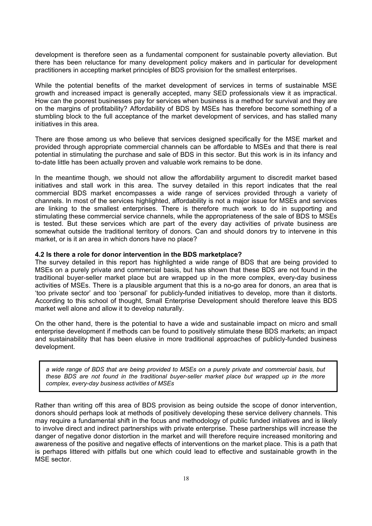development is therefore seen as a fundamental component for sustainable poverty alleviation. But there has been reluctance for many development policy makers and in particular for development practitioners in accepting market principles of BDS provision for the smallest enterprises.

While the potential benefits of the market development of services in terms of sustainable MSE growth and increased impact is generally accepted, many SED professionals view it as impractical. How can the poorest businesses pay for services when business is a method for survival and they are on the margins of profitability? Affordability of BDS by MSEs has therefore become something of a stumbling block to the full acceptance of the market development of services, and has stalled many initiatives in this area.

There are those among us who believe that services designed specifically for the MSE market and provided through appropriate commercial channels can be affordable to MSEs and that there is real potential in stimulating the purchase and sale of BDS in this sector. But this work is in its infancy and to-date little has been actually proven and valuable work remains to be done.

In the meantime though, we should not allow the affordability argument to discredit market based initiatives and stall work in this area. The survey detailed in this report indicates that the real commercial BDS market encompasses a wide range of services provided through a variety of channels. In most of the services highlighted, affordability is not a major issue for MSEs and services are linking to the smallest enterprises. There is therefore much work to do in supporting and stimulating these commercial service channels, while the appropriateness of the sale of BDS to MSEs is tested. But these services which are part of the every day activities of private business are somewhat outside the traditional territory of donors. Can and should donors try to intervene in this market, or is it an area in which donors have no place?

# **4.2 Is there a role for donor intervention in the BDS marketplace?**

The survey detailed in this report has highlighted a wide range of BDS that are being provided to MSEs on a purely private and commercial basis, but has shown that these BDS are not found in the traditional buyer-seller market place but are wrapped up in the more complex, every-day business activities of MSEs. There is a plausible argument that this is a no-go area for donors, an area that is 'too private sector' and too 'personal' for publicly-funded initiatives to develop, more than it distorts. According to this school of thought, Small Enterprise Development should therefore leave this BDS market well alone and allow it to develop naturally.

On the other hand, there is the potential to have a wide and sustainable impact on micro and small enterprise development if methods can be found to positively stimulate these BDS markets; an impact and sustainability that has been elusive in more traditional approaches of publicly-funded business development.

*a wide range of BDS that are being provided to MSEs on a purely private and commercial basis, but these BDS are not found in the traditional buyer-seller market place but wrapped up in the more complex, every-day business activities of MSEs* 

Rather than writing off this area of BDS provision as being outside the scope of donor intervention, donors should perhaps look at methods of positively developing these service delivery channels. This may require a fundamental shift in the focus and methodology of public funded initiatives and is likely to involve direct and indirect partnerships with private enterprise. These partnerships will increase the danger of negative donor distortion in the market and will therefore require increased monitoring and awareness of the positive and negative effects of interventions on the market place. This is a path that is perhaps littered with pitfalls but one which could lead to effective and sustainable growth in the MSE sector.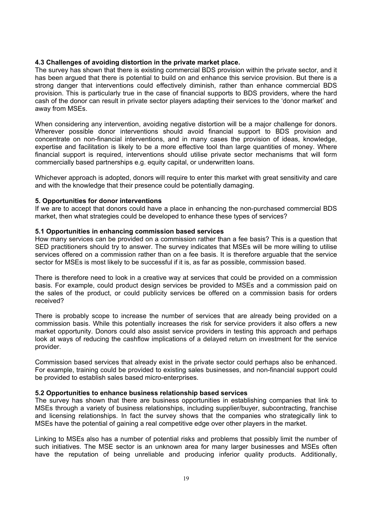# **4.3 Challenges of avoiding distortion in the private market place.**

The survey has shown that there is existing commercial BDS provision within the private sector, and it has been argued that there is potential to build on and enhance this service provision. But there is a strong danger that interventions could effectively diminish, rather than enhance commercial BDS provision. This is particularly true in the case of financial supports to BDS providers, where the hard cash of the donor can result in private sector players adapting their services to the 'donor market' and away from MSEs.

When considering any intervention, avoiding negative distortion will be a major challenge for donors. Wherever possible donor interventions should avoid financial support to BDS provision and concentrate on non-financial interventions, and in many cases the provision of ideas, knowledge, expertise and facilitation is likely to be a more effective tool than large quantities of money. Where financial support is required, interventions should utilise private sector mechanisms that will form commercially based partnerships e.g. equity capital, or underwritten loans.

Whichever approach is adopted, donors will require to enter this market with great sensitivity and care and with the knowledge that their presence could be potentially damaging.

# **5. Opportunities for donor interventions**

If we are to accept that donors could have a place in enhancing the non-purchased commercial BDS market, then what strategies could be developed to enhance these types of services?

# **5.1 Opportunities in enhancing commission based services**

How many services can be provided on a commission rather than a fee basis? This is a question that SED practitioners should try to answer. The survey indicates that MSEs will be more willing to utilise services offered on a commission rather than on a fee basis. It is therefore arguable that the service sector for MSEs is most likely to be successful if it is, as far as possible, commission based.

There is therefore need to look in a creative way at services that could be provided on a commission basis. For example, could product design services be provided to MSEs and a commission paid on the sales of the product, or could publicity services be offered on a commission basis for orders received?

There is probably scope to increase the number of services that are already being provided on a commission basis. While this potentially increases the risk for service providers it also offers a new market opportunity. Donors could also assist service providers in testing this approach and perhaps look at ways of reducing the cashflow implications of a delayed return on investment for the service provider.

Commission based services that already exist in the private sector could perhaps also be enhanced. For example, training could be provided to existing sales businesses, and non-financial support could be provided to establish sales based micro-enterprises.

### **5.2 Opportunities to enhance business relationship based services**

The survey has shown that there are business opportunities in establishing companies that link to MSEs through a variety of business relationships, including supplier/buyer, subcontracting, franchise and licensing relationships. In fact the survey shows that the companies who strategically link to MSEs have the potential of gaining a real competitive edge over other players in the market.

Linking to MSEs also has a number of potential risks and problems that possibly limit the number of such initiatives. The MSE sector is an unknown area for many larger businesses and MSEs often have the reputation of being unreliable and producing inferior quality products. Additionally,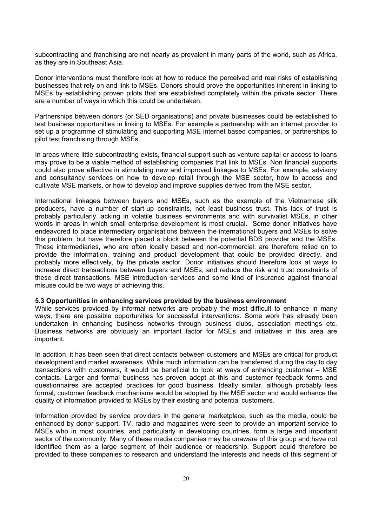subcontracting and franchising are not nearly as prevalent in many parts of the world, such as Africa, as they are in Southeast Asia.

Donor interventions must therefore look at how to reduce the perceived and real risks of establishing businesses that rely on and link to MSEs. Donors should prove the opportunities inherent in linking to MSEs by establishing proven pilots that are established completely within the private sector. There are a number of ways in which this could be undertaken.

Partnerships between donors (or SED organisations) and private businesses could be established to test business opportunities in linking to MSEs. For example a partnership with an internet provider to set up a programme of stimulating and supporting MSE internet based companies, or partnerships to pilot test franchising through MSEs.

In areas where little subcontracting exists, financial support such as venture capital or access to loans may prove to be a viable method of establishing companies that link to MSEs. Non financial supports could also prove effective in stimulating new and improved linkages to MSEs. For example, advisory and consultancy services on how to develop retail through the MSE sector, how to access and cultivate MSE markets, or how to develop and improve supplies derived from the MSE sector.

International linkages between buyers and MSEs, such as the example of the Vietnamese silk producers, have a number of start-up constraints, not least business trust. This lack of trust is probably particularly lacking in volatile business environments and with survivalist MSEs, in other words in areas in which small enterprise development is most crucial. Some donor initiatives have endeavored to place intermediary organisations between the international buyers and MSEs to solve this problem, but have therefore placed a block between the potential BDS provider and the MSEs. These intermediaries, who are often locally based and non-commercial, are therefore relied on to provide the information, training and product development that could be provided directly, and probably more effectively, by the private sector. Donor initiatives should therefore look at ways to increase direct transactions between buyers and MSEs, and reduce the risk and trust constraints of these direct transactions. MSE introduction services and some kind of insurance against financial misuse could be two ways of achieving this.

## **5.3 Opportunities in enhancing services provided by the business environment**

While services provided by informal networks are probably the most difficult to enhance in many ways, there are possible opportunities for successful interventions. Some work has already been undertaken in enhancing business networks through business clubs, association meetings etc. Business networks are obviously an important factor for MSEs and initiatives in this area are important.

In addition, it has been seen that direct contacts between customers and MSEs are critical for product development and market awareness. While much information can be transferred during the day to day transactions with customers, it would be beneficial to look at ways of enhancing customer – MSE contacts. Larger and formal business has proven adept at this and customer feedback forms and questionnaires are accepted practices for good business. Ideally similar, although probably less formal, customer feedback mechanisms would be adopted by the MSE sector and would enhance the quality of information provided to MSEs by their existing and potential customers.

Information provided by service providers in the general marketplace, such as the media, could be enhanced by donor support. TV, radio and magazines were seen to provide an important service to MSEs who in most countries, and particularly in developing countries, form a large and important sector of the community. Many of these media companies may be unaware of this group and have not identified them as a large segment of their audience or readership. Support could therefore be provided to these companies to research and understand the interests and needs of this segment of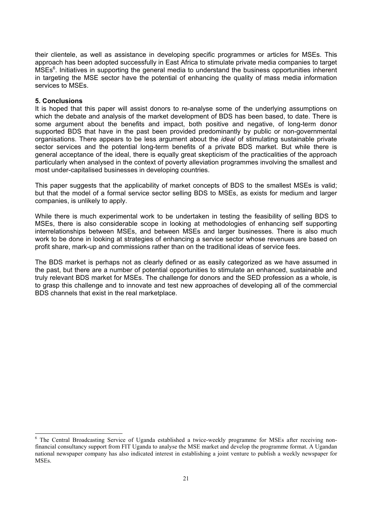their clientele, as well as assistance in developing specific programmes or articles for MSEs. This approach has been adopted successfully in East Africa to stimulate private media companies to target MSEs<sup>6</sup>. Initiatives in supporting the general media to understand the business opportunities inherent in targeting the MSE sector have the potential of enhancing the quality of mass media information services to MSEs.

# **5. Conclusions**

 $\overline{a}$ 

It is hoped that this paper will assist donors to re-analyse some of the underlying assumptions on which the debate and analysis of the market development of BDS has been based, to date. There is some argument about the benefits and impact, both positive and negative, of long-term donor supported BDS that have in the past been provided predominantly by public or non-governmental organisations. There appears to be less argument about the *ideal* of stimulating sustainable private sector services and the potential long-term benefits of a private BDS market. But while there is general acceptance of the ideal, there is equally great skepticism of the practicalities of the approach particularly when analysed in the context of poverty alleviation programmes involving the smallest and most under-capitalised businesses in developing countries.

This paper suggests that the applicability of market concepts of BDS to the smallest MSEs is valid; but that the model of a formal service sector selling BDS to MSEs, as exists for medium and larger companies, is unlikely to apply.

While there is much experimental work to be undertaken in testing the feasibility of selling BDS to MSEs, there is also considerable scope in looking at methodologies of enhancing self supporting interrelationships between MSEs, and between MSEs and larger businesses. There is also much work to be done in looking at strategies of enhancing a service sector whose revenues are based on profit share, mark-up and commissions rather than on the traditional ideas of service fees.

The BDS market is perhaps not as clearly defined or as easily categorized as we have assumed in the past, but there are a number of potential opportunities to stimulate an enhanced, sustainable and truly relevant BDS market for MSEs. The challenge for donors and the SED profession as a whole, is to grasp this challenge and to innovate and test new approaches of developing all of the commercial BDS channels that exist in the real marketplace.

<sup>&</sup>lt;sup>6</sup> The Central Broadcasting Service of Uganda established a twice-weekly programme for MSEs after receiving nonfinancial consultancy support from FIT Uganda to analyse the MSE market and develop the programme format. A Ugandan national newspaper company has also indicated interest in establishing a joint venture to publish a weekly newspaper for MSEs.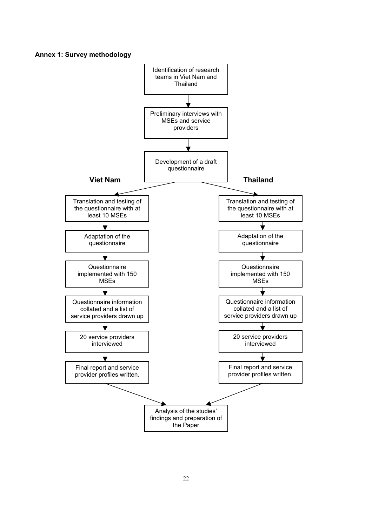**Annex 1: Survey methodology** 

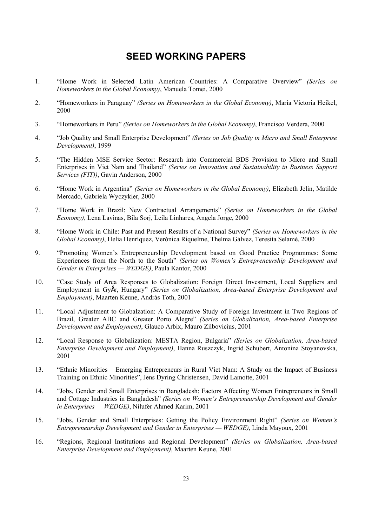# **SEED WORKING PAPERS**

- 1. "Home Work in Selected Latin American Countries: A Comparative Overview" *(Series on Homeworkers in the Global Economy)*, Manuela Tomei, 2000
- 2. "Homeworkers in Paraguay" *(Series on Homeworkers in the Global Economy)*, María Victoria Heikel, 2000
- 3. "Homeworkers in Peru" *(Series on Homeworkers in the Global Economy)*, Francisco Verdera, 2000
- 4. "Job Quality and Small Enterprise Development" *(Series on Job Quality in Micro and Small Enterprise Development)*, 1999
- 5. "The Hidden MSE Service Sector: Research into Commercial BDS Provision to Micro and Small Enterprises in Viet Nam and Thailand" *(Series on Innovation and Sustainability in Business Support Services (FIT))*, Gavin Anderson, 2000
- 6. "Home Work in Argentina" *(Series on Homeworkers in the Global Economy)*, Elizabeth Jelin, Matilde Mercado, Gabriela Wyczykier, 2000
- 7. "Home Work in Brazil: New Contractual Arrangements" *(Series on Homeworkers in the Global Economy)*, Lena Lavinas, Bila Sorj, Leila Linhares, Angela Jorge, 2000
- 8. "Home Work in Chile: Past and Present Results of a National Survey" *(Series on Homeworkers in the Global Economy)*, Helia Henríquez, Verónica Riquelme, Thelma Gálvez, Teresita Selamé, 2000
- 9. "Promoting Women's Entrepreneurship Development based on Good Practice Programmes: Some Experiences from the North to the South" *(Series on Women's Entrepreneurship Development and Gender in Enterprises — WEDGE)*, Paula Kantor, 2000
- 10. "Case Study of Area Responses to Globalization: Foreign Direct Investment, Local Suppliers and Employment in GyÅr, Hungary" *(Series on Globalization, Area-based Enterprise Development and Employment)*, Maarten Keune, András Toth, 2001
- 11. "Local Adjustment to Globalzation: A Comparative Study of Foreign Investment in Two Regions of Brazil, Greater ABC and Greater Porto Alegre" *(Series on Globalization, Area-based Enterprise Development and Employment)*, Glauco Arbix, Mauro Zilbovicius, 2001
- 12. "Local Response to Globalization: MESTA Region, Bulgaria" *(Series on Globalization, Area-based Enterprise Development and Employment)*, Hanna Ruszczyk, Ingrid Schubert, Antonina Stoyanovska, 2001
- 13. "Ethnic Minorities Emerging Entrepreneurs in Rural Viet Nam: A Study on the Impact of Business Training on Ethnic Minorities", Jens Dyring Christensen, David Lamotte, 2001
- 14. "Jobs, Gender and Small Enterprises in Bangladesh: Factors Affecting Women Entrepreneurs in Small and Cottage Industries in Bangladesh" *(Series on Women's Entrepreneurship Development and Gender in Enterprises — WEDGE)*, Nilufer Ahmed Karim, 2001
- 15. "Jobs, Gender and Small Enterprises: Getting the Policy Environment Right" *(Series on Women's Entrepreneurship Development and Gender in Enterprises — WEDGE)*, Linda Mayoux, 2001
- 16. "Regions, Regional Institutions and Regional Development" *(Series on Globalization, Area-based Enterprise Development and Employment)*, Maarten Keune, 2001